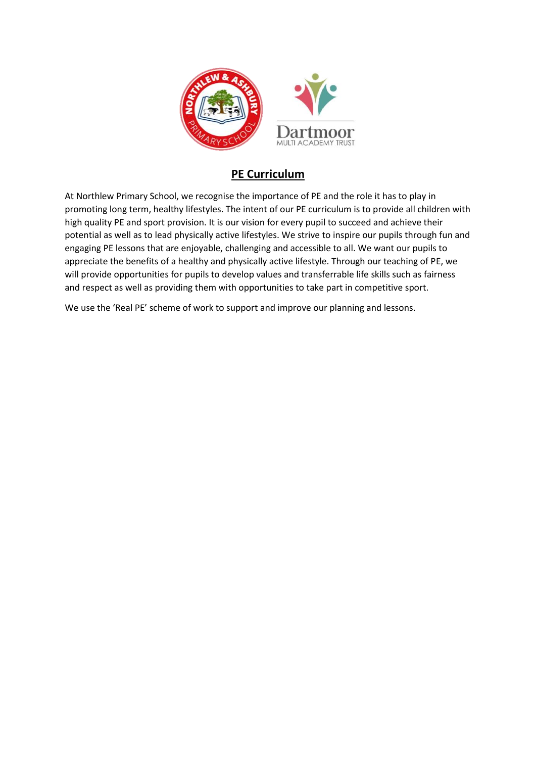

## **PE Curriculum**

At Northlew Primary School, we recognise the importance of PE and the role it has to play in promoting long term, healthy lifestyles. The intent of our PE curriculum is to provide all children with high quality PE and sport provision. It is our vision for every pupil to succeed and achieve their potential as well as to lead physically active lifestyles. We strive to inspire our pupils through fun and engaging PE lessons that are enjoyable, challenging and accessible to all. We want our pupils to appreciate the benefits of a healthy and physically active lifestyle. Through our teaching of PE, we will provide opportunities for pupils to develop values and transferrable life skills such as fairness and respect as well as providing them with opportunities to take part in competitive sport.

We use the 'Real PE' scheme of work to support and improve our planning and lessons.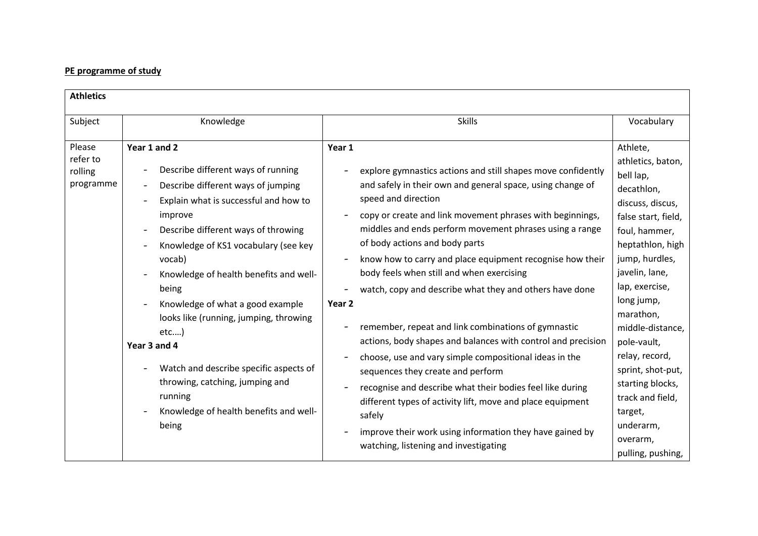## **PE programme of study**

| <b>Athletics</b>                           |                                                                                                                                                                                                                                                                                                                                                                                                                                                                                                                                                                                                                               |                                                                                                                                                                                                                                                                                                                                                                                                                                                                                                                                                                                                                                                                                                                                                                                                                                                                                                                                                                                                             |                                                                                                                                                                                                                                                                                                                                                                                                      |
|--------------------------------------------|-------------------------------------------------------------------------------------------------------------------------------------------------------------------------------------------------------------------------------------------------------------------------------------------------------------------------------------------------------------------------------------------------------------------------------------------------------------------------------------------------------------------------------------------------------------------------------------------------------------------------------|-------------------------------------------------------------------------------------------------------------------------------------------------------------------------------------------------------------------------------------------------------------------------------------------------------------------------------------------------------------------------------------------------------------------------------------------------------------------------------------------------------------------------------------------------------------------------------------------------------------------------------------------------------------------------------------------------------------------------------------------------------------------------------------------------------------------------------------------------------------------------------------------------------------------------------------------------------------------------------------------------------------|------------------------------------------------------------------------------------------------------------------------------------------------------------------------------------------------------------------------------------------------------------------------------------------------------------------------------------------------------------------------------------------------------|
| Subject                                    | Knowledge                                                                                                                                                                                                                                                                                                                                                                                                                                                                                                                                                                                                                     | <b>Skills</b>                                                                                                                                                                                                                                                                                                                                                                                                                                                                                                                                                                                                                                                                                                                                                                                                                                                                                                                                                                                               | Vocabulary                                                                                                                                                                                                                                                                                                                                                                                           |
| Please<br>refer to<br>rolling<br>programme | Year 1 and 2<br>Describe different ways of running<br>$\overline{\phantom{0}}$<br>Describe different ways of jumping<br>Explain what is successful and how to<br>$\overline{\phantom{a}}$<br>improve<br>Describe different ways of throwing<br>$\overline{\phantom{0}}$<br>Knowledge of KS1 vocabulary (see key<br>vocab)<br>Knowledge of health benefits and well-<br>being<br>Knowledge of what a good example<br>looks like (running, jumping, throwing<br>etc)<br>Year 3 and 4<br>Watch and describe specific aspects of<br>throwing, catching, jumping and<br>running<br>Knowledge of health benefits and well-<br>being | Year 1<br>explore gymnastics actions and still shapes move confidently<br>and safely in their own and general space, using change of<br>speed and direction<br>copy or create and link movement phrases with beginnings,<br>middles and ends perform movement phrases using a range<br>of body actions and body parts<br>know how to carry and place equipment recognise how their<br>$\overline{\phantom{a}}$<br>body feels when still and when exercising<br>watch, copy and describe what they and others have done<br>Year <sub>2</sub><br>remember, repeat and link combinations of gymnastic<br>actions, body shapes and balances with control and precision<br>choose, use and vary simple compositional ideas in the<br>sequences they create and perform<br>recognise and describe what their bodies feel like during<br>different types of activity lift, move and place equipment<br>safely<br>improve their work using information they have gained by<br>watching, listening and investigating | Athlete,<br>athletics, baton,<br>bell lap,<br>decathlon,<br>discuss, discus,<br>false start, field,<br>foul, hammer,<br>heptathlon, high<br>jump, hurdles,<br>javelin, lane,<br>lap, exercise,<br>long jump,<br>marathon,<br>middle-distance,<br>pole-vault,<br>relay, record,<br>sprint, shot-put,<br>starting blocks,<br>track and field,<br>target,<br>underarm,<br>overarm,<br>pulling, pushing, |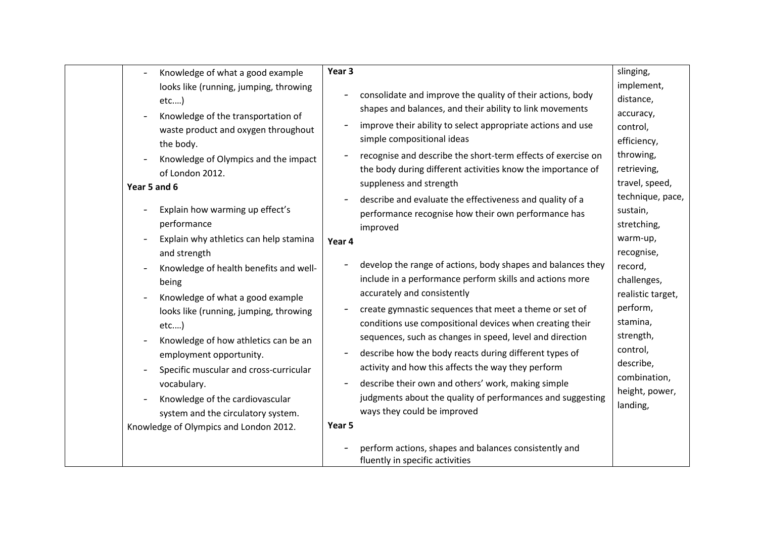| Knowledge of what a good example<br>looks like (running, jumping, throwing<br>etc)<br>Knowledge of the transportation of<br>waste product and oxygen throughout<br>the body.<br>Knowledge of Olympics and the impact<br>of London 2012.<br>Year 5 and 6<br>Explain how warming up effect's<br>performance<br>Explain why athletics can help stamina<br>and strength<br>Knowledge of health benefits and well-<br>being<br>Knowledge of what a good example<br>looks like (running, jumping, throwing<br>etc)<br>Knowledge of how athletics can be an<br>employment opportunity.<br>Specific muscular and cross-curricular<br>vocabulary.<br>Knowledge of the cardiovascular<br>system and the circulatory system.<br>Knowledge of Olympics and London 2012. | Year 3<br>consolidate and improve the quality of their actions, body<br>$\overline{\phantom{0}}$<br>shapes and balances, and their ability to link movements<br>improve their ability to select appropriate actions and use<br>simple compositional ideas<br>recognise and describe the short-term effects of exercise on<br>the body during different activities know the importance of<br>suppleness and strength<br>describe and evaluate the effectiveness and quality of a<br>performance recognise how their own performance has<br>improved<br>Year 4<br>develop the range of actions, body shapes and balances they<br>$\overline{\phantom{0}}$<br>include in a performance perform skills and actions more<br>accurately and consistently<br>create gymnastic sequences that meet a theme or set of<br>conditions use compositional devices when creating their<br>sequences, such as changes in speed, level and direction<br>describe how the body reacts during different types of<br>activity and how this affects the way they perform<br>describe their own and others' work, making simple<br>judgments about the quality of performances and suggesting<br>ways they could be improved<br>Year 5<br>perform actions, shapes and balances consistently and<br>fluently in specific activities | slinging,<br>implement,<br>distance,<br>accuracy,<br>control,<br>efficiency,<br>throwing,<br>retrieving,<br>travel, speed,<br>technique, pace,<br>sustain,<br>stretching,<br>warm-up,<br>recognise,<br>record,<br>challenges,<br>realistic target,<br>perform,<br>stamina,<br>strength,<br>control,<br>describe,<br>combination,<br>height, power,<br>landing, |
|-------------------------------------------------------------------------------------------------------------------------------------------------------------------------------------------------------------------------------------------------------------------------------------------------------------------------------------------------------------------------------------------------------------------------------------------------------------------------------------------------------------------------------------------------------------------------------------------------------------------------------------------------------------------------------------------------------------------------------------------------------------|---------------------------------------------------------------------------------------------------------------------------------------------------------------------------------------------------------------------------------------------------------------------------------------------------------------------------------------------------------------------------------------------------------------------------------------------------------------------------------------------------------------------------------------------------------------------------------------------------------------------------------------------------------------------------------------------------------------------------------------------------------------------------------------------------------------------------------------------------------------------------------------------------------------------------------------------------------------------------------------------------------------------------------------------------------------------------------------------------------------------------------------------------------------------------------------------------------------------------------------------------------------------------------------------------------------|----------------------------------------------------------------------------------------------------------------------------------------------------------------------------------------------------------------------------------------------------------------------------------------------------------------------------------------------------------------|
|-------------------------------------------------------------------------------------------------------------------------------------------------------------------------------------------------------------------------------------------------------------------------------------------------------------------------------------------------------------------------------------------------------------------------------------------------------------------------------------------------------------------------------------------------------------------------------------------------------------------------------------------------------------------------------------------------------------------------------------------------------------|---------------------------------------------------------------------------------------------------------------------------------------------------------------------------------------------------------------------------------------------------------------------------------------------------------------------------------------------------------------------------------------------------------------------------------------------------------------------------------------------------------------------------------------------------------------------------------------------------------------------------------------------------------------------------------------------------------------------------------------------------------------------------------------------------------------------------------------------------------------------------------------------------------------------------------------------------------------------------------------------------------------------------------------------------------------------------------------------------------------------------------------------------------------------------------------------------------------------------------------------------------------------------------------------------------------|----------------------------------------------------------------------------------------------------------------------------------------------------------------------------------------------------------------------------------------------------------------------------------------------------------------------------------------------------------------|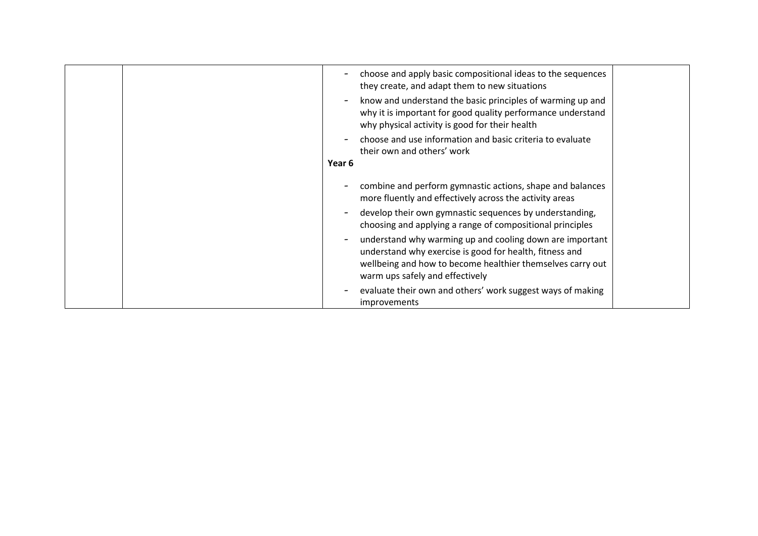|                          | choose and apply basic compositional ideas to the sequences<br>they create, and adapt them to new situations                                                                                                         |  |
|--------------------------|----------------------------------------------------------------------------------------------------------------------------------------------------------------------------------------------------------------------|--|
| $\overline{\phantom{a}}$ | know and understand the basic principles of warming up and<br>why it is important for good quality performance understand<br>why physical activity is good for their health                                          |  |
|                          | choose and use information and basic criteria to evaluate<br>their own and others' work                                                                                                                              |  |
| Year 6                   |                                                                                                                                                                                                                      |  |
|                          | combine and perform gymnastic actions, shape and balances<br>more fluently and effectively across the activity areas                                                                                                 |  |
| $\overline{\phantom{a}}$ | develop their own gymnastic sequences by understanding,<br>choosing and applying a range of compositional principles                                                                                                 |  |
| $\overline{\phantom{a}}$ | understand why warming up and cooling down are important<br>understand why exercise is good for health, fitness and<br>wellbeing and how to become healthier themselves carry out<br>warm ups safely and effectively |  |
|                          | evaluate their own and others' work suggest ways of making<br><i>improvements</i>                                                                                                                                    |  |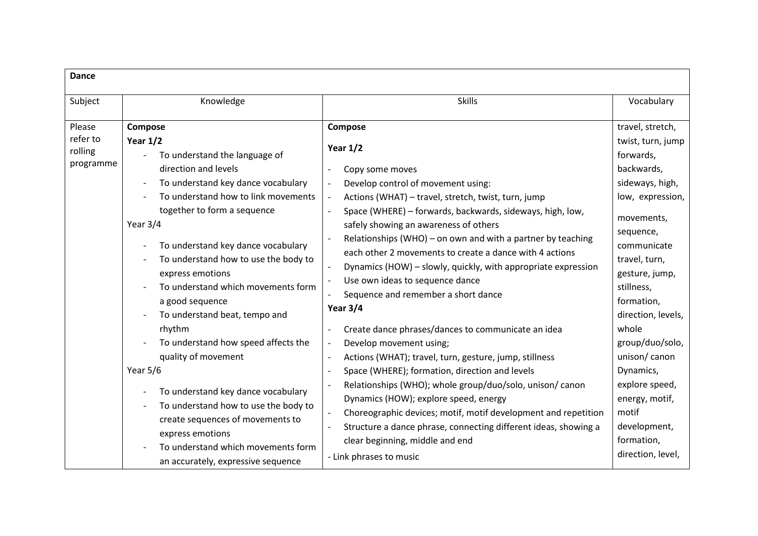| <b>Dance</b>                               |                                                                                                                                                                                                                                                                                                                                                                                                                                                                                                                                                                                                                                                                                                              |                                                                                                                                                                                                                                                                                                                                                                                                                                                                                                                                                                                                                                                                                                                                                                                                                                                                                                                                                                                                                                                                                                                                                |                                                                                                                                                                                                                                                                                                                                                                                                 |
|--------------------------------------------|--------------------------------------------------------------------------------------------------------------------------------------------------------------------------------------------------------------------------------------------------------------------------------------------------------------------------------------------------------------------------------------------------------------------------------------------------------------------------------------------------------------------------------------------------------------------------------------------------------------------------------------------------------------------------------------------------------------|------------------------------------------------------------------------------------------------------------------------------------------------------------------------------------------------------------------------------------------------------------------------------------------------------------------------------------------------------------------------------------------------------------------------------------------------------------------------------------------------------------------------------------------------------------------------------------------------------------------------------------------------------------------------------------------------------------------------------------------------------------------------------------------------------------------------------------------------------------------------------------------------------------------------------------------------------------------------------------------------------------------------------------------------------------------------------------------------------------------------------------------------|-------------------------------------------------------------------------------------------------------------------------------------------------------------------------------------------------------------------------------------------------------------------------------------------------------------------------------------------------------------------------------------------------|
| Subject                                    | Knowledge                                                                                                                                                                                                                                                                                                                                                                                                                                                                                                                                                                                                                                                                                                    | <b>Skills</b>                                                                                                                                                                                                                                                                                                                                                                                                                                                                                                                                                                                                                                                                                                                                                                                                                                                                                                                                                                                                                                                                                                                                  | Vocabulary                                                                                                                                                                                                                                                                                                                                                                                      |
| Please<br>refer to<br>rolling<br>programme | Compose<br>Year $1/2$<br>To understand the language of<br>direction and levels<br>To understand key dance vocabulary<br>To understand how to link movements<br>together to form a sequence<br>Year $3/4$<br>To understand key dance vocabulary<br>To understand how to use the body to<br>express emotions<br>To understand which movements form<br>a good sequence<br>To understand beat, tempo and<br>rhythm<br>To understand how speed affects the<br>quality of movement<br>Year $5/6$<br>To understand key dance vocabulary<br>To understand how to use the body to<br>create sequences of movements to<br>express emotions<br>To understand which movements form<br>an accurately, expressive sequence | Compose<br>Year $1/2$<br>Copy some moves<br>Develop control of movement using:<br>Actions (WHAT) - travel, stretch, twist, turn, jump<br>$\overline{a}$<br>Space (WHERE) - forwards, backwards, sideways, high, low,<br>safely showing an awareness of others<br>Relationships (WHO) – on own and with a partner by teaching<br>each other 2 movements to create a dance with 4 actions<br>Dynamics (HOW) - slowly, quickly, with appropriate expression<br>Use own ideas to sequence dance<br>Sequence and remember a short dance<br>Year 3/4<br>Create dance phrases/dances to communicate an idea<br>Develop movement using;<br>$\overline{\phantom{a}}$<br>Actions (WHAT); travel, turn, gesture, jump, stillness<br>$\overline{a}$<br>Space (WHERE); formation, direction and levels<br>$\overline{\phantom{a}}$<br>Relationships (WHO); whole group/duo/solo, unison/canon<br>$\overline{a}$<br>Dynamics (HOW); explore speed, energy<br>Choreographic devices; motif, motif development and repetition<br>Structure a dance phrase, connecting different ideas, showing a<br>clear beginning, middle and end<br>- Link phrases to music | travel, stretch,<br>twist, turn, jump<br>forwards,<br>backwards,<br>sideways, high,<br>low, expression,<br>movements,<br>sequence,<br>communicate<br>travel, turn,<br>gesture, jump,<br>stillness,<br>formation,<br>direction, levels,<br>whole<br>group/duo/solo,<br>unison/canon<br>Dynamics,<br>explore speed,<br>energy, motif,<br>motif<br>development,<br>formation,<br>direction, level, |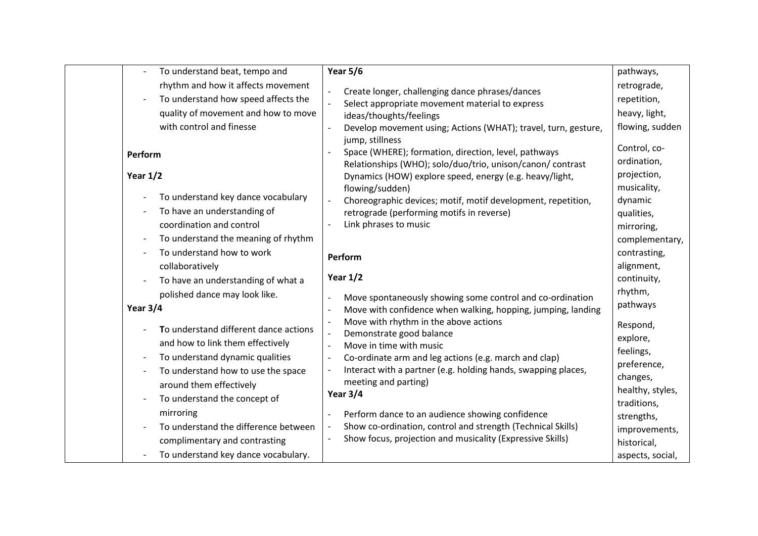| To understand beat, tempo and         | <b>Year 5/6</b>                                                                                           | pathways,                       |
|---------------------------------------|-----------------------------------------------------------------------------------------------------------|---------------------------------|
| rhythm and how it affects movement    |                                                                                                           | retrograde,                     |
| To understand how speed affects the   | Create longer, challenging dance phrases/dances<br>Select appropriate movement material to express        | repetition,                     |
| quality of movement and how to move   | ideas/thoughts/feelings                                                                                   | heavy, light,                   |
| with control and finesse              | Develop movement using; Actions (WHAT); travel, turn, gesture,                                            | flowing, sudden                 |
|                                       | jump, stillness                                                                                           |                                 |
| Perform                               | Space (WHERE); formation, direction, level, pathways                                                      | Control, co-                    |
|                                       | Relationships (WHO); solo/duo/trio, unison/canon/ contrast                                                | ordination,                     |
| Year $1/2$                            | Dynamics (HOW) explore speed, energy (e.g. heavy/light,                                                   | projection,                     |
| To understand key dance vocabulary    | flowing/sudden)                                                                                           | musicality,                     |
| To have an understanding of           | Choreographic devices; motif, motif development, repetition,<br>retrograde (performing motifs in reverse) | dynamic                         |
| coordination and control              | Link phrases to music                                                                                     | qualities,                      |
| To understand the meaning of rhythm   |                                                                                                           | mirroring,<br>complementary,    |
| To understand how to work             |                                                                                                           | contrasting,                    |
| collaboratively                       | Perform                                                                                                   | alignment,                      |
| To have an understanding of what a    | Year $1/2$                                                                                                | continuity,                     |
| polished dance may look like.         |                                                                                                           | rhythm,                         |
|                                       | Move spontaneously showing some control and co-ordination                                                 | pathways                        |
| Year 3/4                              | Move with confidence when walking, hopping, jumping, landing<br>$\overline{\phantom{a}}$                  |                                 |
| To understand different dance actions | Move with rhythm in the above actions<br>Demonstrate good balance                                         | Respond,                        |
| and how to link them effectively      | Move in time with music<br>$\overline{\phantom{a}}$                                                       | explore,                        |
| To understand dynamic qualities       | Co-ordinate arm and leg actions (e.g. march and clap)<br>$\overline{\phantom{a}}$                         | feelings,                       |
| To understand how to use the space    | Interact with a partner (e.g. holding hands, swapping places,                                             | preference,                     |
| around them effectively               | meeting and parting)                                                                                      | changes,                        |
| To understand the concept of          | Year 3/4                                                                                                  | healthy, styles,<br>traditions, |
| mirroring                             | Perform dance to an audience showing confidence                                                           | strengths,                      |
| To understand the difference between  | Show co-ordination, control and strength (Technical Skills)                                               | improvements,                   |
| complimentary and contrasting         | Show focus, projection and musicality (Expressive Skills)                                                 | historical,                     |
| To understand key dance vocabulary.   |                                                                                                           | aspects, social,                |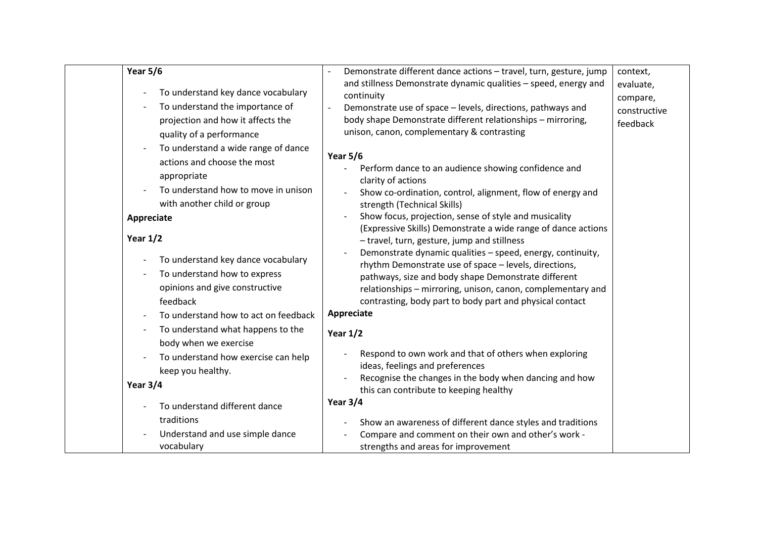| Year 5/6<br>To understand key dance vocabulary<br>$\overline{\phantom{a}}$<br>To understand the importance of<br>projection and how it affects the<br>quality of a performance<br>To understand a wide range of dance<br>actions and choose the most<br>appropriate<br>To understand how to move in unison<br>with another child or group<br>Appreciate<br>Year $1/2$<br>To understand key dance vocabulary<br>$\overline{\phantom{a}}$<br>To understand how to express<br>opinions and give constructive<br>feedback | Demonstrate different dance actions - travel, turn, gesture, jump<br>and stillness Demonstrate dynamic qualities - speed, energy and<br>continuity<br>Demonstrate use of space - levels, directions, pathways and<br>body shape Demonstrate different relationships - mirroring,<br>unison, canon, complementary & contrasting<br><b>Year 5/6</b><br>Perform dance to an audience showing confidence and<br>clarity of actions<br>Show co-ordination, control, alignment, flow of energy and<br>strength (Technical Skills)<br>Show focus, projection, sense of style and musicality<br>(Expressive Skills) Demonstrate a wide range of dance actions<br>- travel, turn, gesture, jump and stillness<br>Demonstrate dynamic qualities - speed, energy, continuity,<br>rhythm Demonstrate use of space - levels, directions,<br>pathways, size and body shape Demonstrate different<br>relationships - mirroring, unison, canon, complementary and<br>contrasting, body part to body part and physical contact | context,<br>evaluate,<br>compare,<br>constructive<br>feedback |
|-----------------------------------------------------------------------------------------------------------------------------------------------------------------------------------------------------------------------------------------------------------------------------------------------------------------------------------------------------------------------------------------------------------------------------------------------------------------------------------------------------------------------|---------------------------------------------------------------------------------------------------------------------------------------------------------------------------------------------------------------------------------------------------------------------------------------------------------------------------------------------------------------------------------------------------------------------------------------------------------------------------------------------------------------------------------------------------------------------------------------------------------------------------------------------------------------------------------------------------------------------------------------------------------------------------------------------------------------------------------------------------------------------------------------------------------------------------------------------------------------------------------------------------------------|---------------------------------------------------------------|
|                                                                                                                                                                                                                                                                                                                                                                                                                                                                                                                       | Appreciate                                                                                                                                                                                                                                                                                                                                                                                                                                                                                                                                                                                                                                                                                                                                                                                                                                                                                                                                                                                                    |                                                               |
| To understand how to act on feedback<br>To understand what happens to the<br>$\overline{\phantom{a}}$<br>body when we exercise<br>To understand how exercise can help<br>keep you healthy.                                                                                                                                                                                                                                                                                                                            | Year $1/2$<br>Respond to own work and that of others when exploring<br>ideas, feelings and preferences                                                                                                                                                                                                                                                                                                                                                                                                                                                                                                                                                                                                                                                                                                                                                                                                                                                                                                        |                                                               |
| Year 3/4                                                                                                                                                                                                                                                                                                                                                                                                                                                                                                              | Recognise the changes in the body when dancing and how                                                                                                                                                                                                                                                                                                                                                                                                                                                                                                                                                                                                                                                                                                                                                                                                                                                                                                                                                        |                                                               |
| To understand different dance                                                                                                                                                                                                                                                                                                                                                                                                                                                                                         | this can contribute to keeping healthy<br>Year $3/4$                                                                                                                                                                                                                                                                                                                                                                                                                                                                                                                                                                                                                                                                                                                                                                                                                                                                                                                                                          |                                                               |
| traditions<br>Understand and use simple dance<br>vocabulary                                                                                                                                                                                                                                                                                                                                                                                                                                                           | Show an awareness of different dance styles and traditions<br>Compare and comment on their own and other's work -<br>strengths and areas for improvement                                                                                                                                                                                                                                                                                                                                                                                                                                                                                                                                                                                                                                                                                                                                                                                                                                                      |                                                               |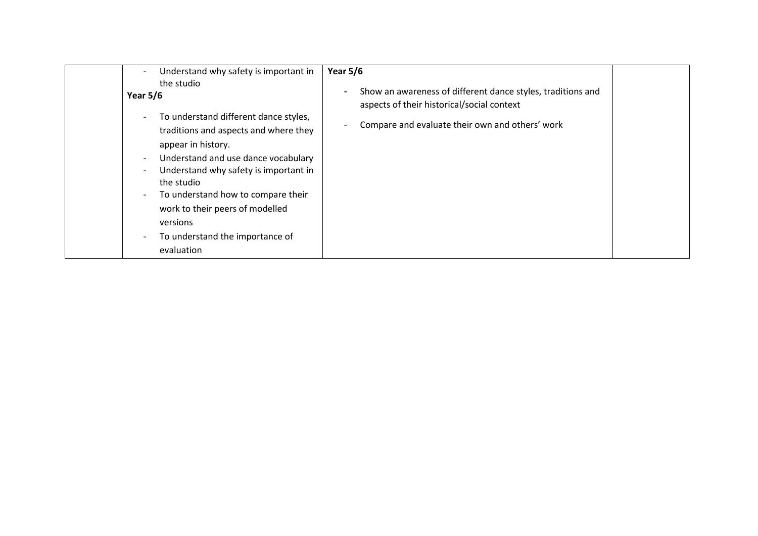| Year $5/6$<br>Understand why safety is important in                                                                                                                                                                                                                                                                                                                                                                                                                                                                                          |                                                                                                                                                              |
|----------------------------------------------------------------------------------------------------------------------------------------------------------------------------------------------------------------------------------------------------------------------------------------------------------------------------------------------------------------------------------------------------------------------------------------------------------------------------------------------------------------------------------------------|--------------------------------------------------------------------------------------------------------------------------------------------------------------|
| the studio<br>$\overline{\phantom{a}}$<br>Year $5/6$<br>To understand different dance styles,<br>$\overline{\phantom{a}}$<br>$\blacksquare$<br>traditions and aspects and where they<br>appear in history.<br>Understand and use dance vocabulary<br>$\sim$<br>Understand why safety is important in<br>$\overline{\phantom{a}}$<br>the studio<br>To understand how to compare their<br>$\overline{\phantom{a}}$<br>work to their peers of modelled<br>versions<br>To understand the importance of<br>$\overline{\phantom{a}}$<br>evaluation | Show an awareness of different dance styles, traditions and<br>aspects of their historical/social context<br>Compare and evaluate their own and others' work |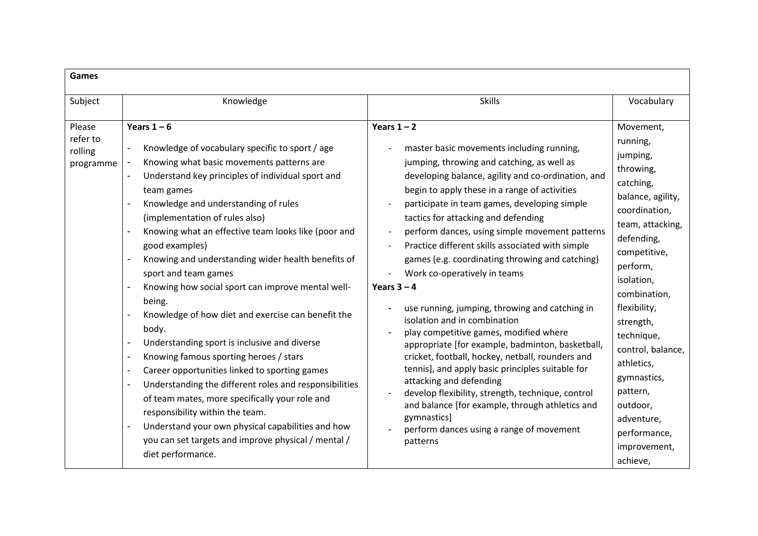| <b>Games</b>                               |                                                                                                                                                                                                                                                                                                                                                                                                                                                                                                                                                                                                                                                                                                                                                                                                                                                                                                                                                                                                                                                                                |                                                                                                                                                                                                                                                                                                                                                                                                                                                                                                                                                                                                                                                                                                                                                                                                                                                                                                                                                                                                                    |                                                                                                                                                                                                                                                                                                                                                                              |
|--------------------------------------------|--------------------------------------------------------------------------------------------------------------------------------------------------------------------------------------------------------------------------------------------------------------------------------------------------------------------------------------------------------------------------------------------------------------------------------------------------------------------------------------------------------------------------------------------------------------------------------------------------------------------------------------------------------------------------------------------------------------------------------------------------------------------------------------------------------------------------------------------------------------------------------------------------------------------------------------------------------------------------------------------------------------------------------------------------------------------------------|--------------------------------------------------------------------------------------------------------------------------------------------------------------------------------------------------------------------------------------------------------------------------------------------------------------------------------------------------------------------------------------------------------------------------------------------------------------------------------------------------------------------------------------------------------------------------------------------------------------------------------------------------------------------------------------------------------------------------------------------------------------------------------------------------------------------------------------------------------------------------------------------------------------------------------------------------------------------------------------------------------------------|------------------------------------------------------------------------------------------------------------------------------------------------------------------------------------------------------------------------------------------------------------------------------------------------------------------------------------------------------------------------------|
| Subject                                    | Knowledge                                                                                                                                                                                                                                                                                                                                                                                                                                                                                                                                                                                                                                                                                                                                                                                                                                                                                                                                                                                                                                                                      | <b>Skills</b>                                                                                                                                                                                                                                                                                                                                                                                                                                                                                                                                                                                                                                                                                                                                                                                                                                                                                                                                                                                                      | Vocabulary                                                                                                                                                                                                                                                                                                                                                                   |
| Please<br>refer to<br>rolling<br>programme | Years $1-6$<br>Knowledge of vocabulary specific to sport / age<br>Knowing what basic movements patterns are<br>Understand key principles of individual sport and<br>$\overline{\phantom{a}}$<br>team games<br>Knowledge and understanding of rules<br>(implementation of rules also)<br>Knowing what an effective team looks like (poor and<br>good examples)<br>Knowing and understanding wider health benefits of<br>sport and team games<br>Knowing how social sport can improve mental well-<br>being.<br>Knowledge of how diet and exercise can benefit the<br>body.<br>Understanding sport is inclusive and diverse<br>$\overline{\phantom{a}}$<br>Knowing famous sporting heroes / stars<br>$\blacksquare$<br>Career opportunities linked to sporting games<br>Understanding the different roles and responsibilities<br>$\overline{\phantom{a}}$<br>of team mates, more specifically your role and<br>responsibility within the team.<br>Understand your own physical capabilities and how<br>you can set targets and improve physical / mental /<br>diet performance. | Years $1 - 2$<br>master basic movements including running,<br>jumping, throwing and catching, as well as<br>developing balance, agility and co-ordination, and<br>begin to apply these in a range of activities<br>participate in team games, developing simple<br>tactics for attacking and defending<br>perform dances, using simple movement patterns<br>Practice different skills associated with simple<br>games (e.g. coordinating throwing and catching)<br>Work co-operatively in teams<br>Years $3 - 4$<br>use running, jumping, throwing and catching in<br>isolation and in combination<br>play competitive games, modified where<br>appropriate [for example, badminton, basketball,<br>cricket, football, hockey, netball, rounders and<br>tennis], and apply basic principles suitable for<br>attacking and defending<br>develop flexibility, strength, technique, control<br>and balance [for example, through athletics and<br>gymnastics]<br>perform dances using a range of movement<br>patterns | Movement,<br>running,<br>jumping,<br>throwing,<br>catching,<br>balance, agility,<br>coordination,<br>team, attacking,<br>defending,<br>competitive,<br>perform,<br>isolation,<br>combination,<br>flexibility,<br>strength,<br>technique,<br>control, balance,<br>athletics,<br>gymnastics,<br>pattern,<br>outdoor,<br>adventure,<br>performance,<br>improvement,<br>achieve, |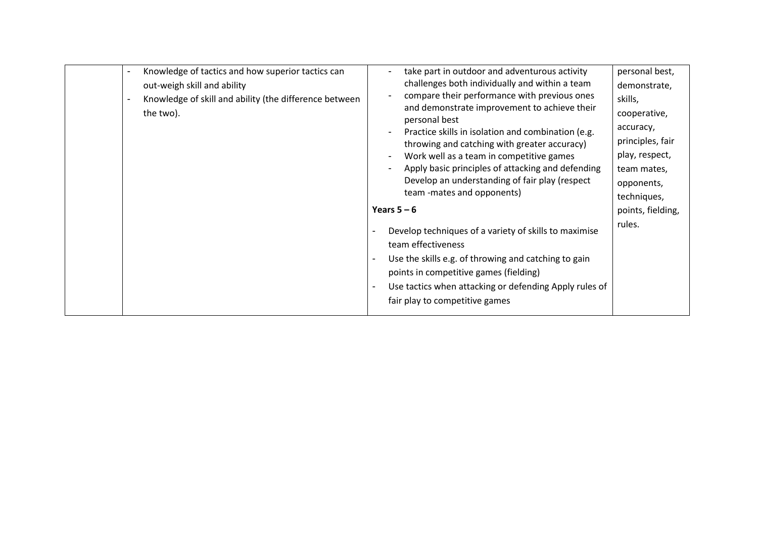| $\blacksquare$<br>٠ | Knowledge of tactics and how superior tactics can<br>out-weigh skill and ability<br>Knowledge of skill and ability (the difference between<br>the two). | take part in outdoor and adventurous activity<br>challenges both individually and within a team<br>compare their performance with previous ones<br>and demonstrate improvement to achieve their<br>personal best<br>Practice skills in isolation and combination (e.g.<br>throwing and catching with greater accuracy)<br>Work well as a team in competitive games<br>Apply basic principles of attacking and defending<br>Develop an understanding of fair play (respect<br>team -mates and opponents)<br>Years $5 - 6$<br>Develop techniques of a variety of skills to maximise<br>team effectiveness<br>Use the skills e.g. of throwing and catching to gain<br>points in competitive games (fielding)<br>Use tactics when attacking or defending Apply rules of<br>fair play to competitive games | personal best,<br>demonstrate,<br>skills,<br>cooperative,<br>accuracy,<br>principles, fair<br>play, respect,<br>team mates,<br>opponents,<br>techniques,<br>points, fielding,<br>rules. |
|---------------------|---------------------------------------------------------------------------------------------------------------------------------------------------------|-------------------------------------------------------------------------------------------------------------------------------------------------------------------------------------------------------------------------------------------------------------------------------------------------------------------------------------------------------------------------------------------------------------------------------------------------------------------------------------------------------------------------------------------------------------------------------------------------------------------------------------------------------------------------------------------------------------------------------------------------------------------------------------------------------|-----------------------------------------------------------------------------------------------------------------------------------------------------------------------------------------|
|---------------------|---------------------------------------------------------------------------------------------------------------------------------------------------------|-------------------------------------------------------------------------------------------------------------------------------------------------------------------------------------------------------------------------------------------------------------------------------------------------------------------------------------------------------------------------------------------------------------------------------------------------------------------------------------------------------------------------------------------------------------------------------------------------------------------------------------------------------------------------------------------------------------------------------------------------------------------------------------------------------|-----------------------------------------------------------------------------------------------------------------------------------------------------------------------------------------|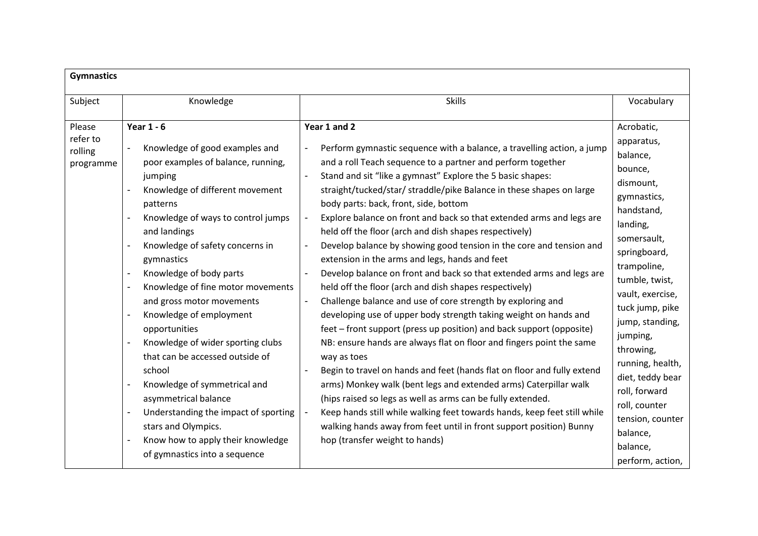| <b>Gymnastics</b>                          |                                                                                                                                                                                                                                                                                                                                                                                                                                                                                                                                                                                                                                                                                                                                                                            |                                                                                                                                                                                                                                                                                                                                                                                                                                                                                                                                                                                                                                                                                                                                                                                                                                                                                                                                                                                                                                                                                                                                                                                                                                                                                                                                                                                                                                        |                                                                                                                                                                                                                                                                                                                                                                                                    |
|--------------------------------------------|----------------------------------------------------------------------------------------------------------------------------------------------------------------------------------------------------------------------------------------------------------------------------------------------------------------------------------------------------------------------------------------------------------------------------------------------------------------------------------------------------------------------------------------------------------------------------------------------------------------------------------------------------------------------------------------------------------------------------------------------------------------------------|----------------------------------------------------------------------------------------------------------------------------------------------------------------------------------------------------------------------------------------------------------------------------------------------------------------------------------------------------------------------------------------------------------------------------------------------------------------------------------------------------------------------------------------------------------------------------------------------------------------------------------------------------------------------------------------------------------------------------------------------------------------------------------------------------------------------------------------------------------------------------------------------------------------------------------------------------------------------------------------------------------------------------------------------------------------------------------------------------------------------------------------------------------------------------------------------------------------------------------------------------------------------------------------------------------------------------------------------------------------------------------------------------------------------------------------|----------------------------------------------------------------------------------------------------------------------------------------------------------------------------------------------------------------------------------------------------------------------------------------------------------------------------------------------------------------------------------------------------|
| Subject                                    | Knowledge                                                                                                                                                                                                                                                                                                                                                                                                                                                                                                                                                                                                                                                                                                                                                                  | <b>Skills</b>                                                                                                                                                                                                                                                                                                                                                                                                                                                                                                                                                                                                                                                                                                                                                                                                                                                                                                                                                                                                                                                                                                                                                                                                                                                                                                                                                                                                                          | Vocabulary                                                                                                                                                                                                                                                                                                                                                                                         |
| Please<br>refer to<br>rolling<br>programme | <b>Year 1 - 6</b><br>Knowledge of good examples and<br>poor examples of balance, running,<br>jumping<br>Knowledge of different movement<br>patterns<br>Knowledge of ways to control jumps<br>and landings<br>Knowledge of safety concerns in<br>gymnastics<br>Knowledge of body parts<br>$\qquad \qquad \blacksquare$<br>Knowledge of fine motor movements<br>and gross motor movements<br>Knowledge of employment<br>opportunities<br>Knowledge of wider sporting clubs<br>that can be accessed outside of<br>school<br>Knowledge of symmetrical and<br>asymmetrical balance<br>Understanding the impact of sporting<br>$\overline{\phantom{a}}$<br>stars and Olympics.<br>Know how to apply their knowledge<br>$\overline{\phantom{a}}$<br>of gymnastics into a sequence | Year 1 and 2<br>Perform gymnastic sequence with a balance, a travelling action, a jump<br>and a roll Teach sequence to a partner and perform together<br>Stand and sit "like a gymnast" Explore the 5 basic shapes:<br>straight/tucked/star/ straddle/pike Balance in these shapes on large<br>body parts: back, front, side, bottom<br>Explore balance on front and back so that extended arms and legs are<br>held off the floor (arch and dish shapes respectively)<br>Develop balance by showing good tension in the core and tension and<br>extension in the arms and legs, hands and feet<br>Develop balance on front and back so that extended arms and legs are<br>held off the floor (arch and dish shapes respectively)<br>Challenge balance and use of core strength by exploring and<br>developing use of upper body strength taking weight on hands and<br>feet – front support (press up position) and back support (opposite)<br>NB: ensure hands are always flat on floor and fingers point the same<br>way as toes<br>Begin to travel on hands and feet (hands flat on floor and fully extend<br>arms) Monkey walk (bent legs and extended arms) Caterpillar walk<br>(hips raised so legs as well as arms can be fully extended.<br>Keep hands still while walking feet towards hands, keep feet still while<br>walking hands away from feet until in front support position) Bunny<br>hop (transfer weight to hands) | Acrobatic,<br>apparatus,<br>balance,<br>bounce,<br>dismount,<br>gymnastics,<br>handstand,<br>landing,<br>somersault,<br>springboard,<br>trampoline,<br>tumble, twist,<br>vault, exercise,<br>tuck jump, pike<br>jump, standing,<br>jumping,<br>throwing,<br>running, health,<br>diet, teddy bear<br>roll, forward<br>roll, counter<br>tension, counter<br>balance,<br>balance,<br>perform, action, |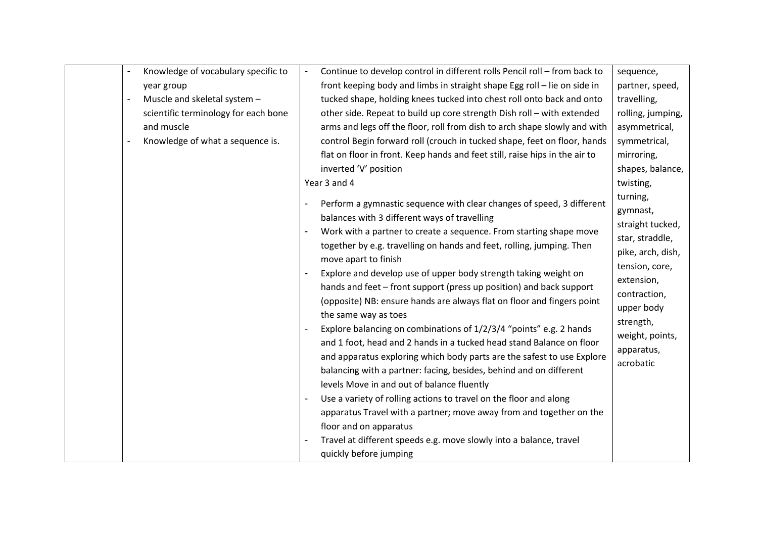| Knowledge of vocabulary specific to<br>$\overline{\phantom{a}}$ | Continue to develop control in different rolls Pencil roll - from back to   | sequence,         |
|-----------------------------------------------------------------|-----------------------------------------------------------------------------|-------------------|
| year group                                                      | front keeping body and limbs in straight shape Egg roll - lie on side in    | partner, speed,   |
| Muscle and skeletal system -                                    | tucked shape, holding knees tucked into chest roll onto back and onto       | travelling,       |
| scientific terminology for each bone                            | other side. Repeat to build up core strength Dish roll - with extended      | rolling, jumping, |
| and muscle                                                      | arms and legs off the floor, roll from dish to arch shape slowly and with   | asymmetrical,     |
| Knowledge of what a sequence is.<br>$\blacksquare$              | control Begin forward roll (crouch in tucked shape, feet on floor, hands    | symmetrical,      |
|                                                                 | flat on floor in front. Keep hands and feet still, raise hips in the air to | mirroring,        |
|                                                                 | inverted 'V' position                                                       | shapes, balance,  |
|                                                                 | Year 3 and 4                                                                | twisting,         |
|                                                                 |                                                                             | turning,          |
|                                                                 | Perform a gymnastic sequence with clear changes of speed, 3 different       | gymnast,          |
|                                                                 | balances with 3 different ways of travelling                                | straight tucked,  |
|                                                                 | Work with a partner to create a sequence. From starting shape move          | star, straddle,   |
|                                                                 | together by e.g. travelling on hands and feet, rolling, jumping. Then       | pike, arch, dish, |
|                                                                 | move apart to finish                                                        | tension, core,    |
|                                                                 | Explore and develop use of upper body strength taking weight on             | extension,        |
|                                                                 | hands and feet - front support (press up position) and back support         | contraction,      |
|                                                                 | (opposite) NB: ensure hands are always flat on floor and fingers point      | upper body        |
|                                                                 | the same way as toes                                                        | strength,         |
|                                                                 | Explore balancing on combinations of 1/2/3/4 "points" e.g. 2 hands          | weight, points,   |
|                                                                 | and 1 foot, head and 2 hands in a tucked head stand Balance on floor        | apparatus,        |
|                                                                 | and apparatus exploring which body parts are the safest to use Explore      | acrobatic         |
|                                                                 | balancing with a partner: facing, besides, behind and on different          |                   |
|                                                                 | levels Move in and out of balance fluently                                  |                   |
|                                                                 | Use a variety of rolling actions to travel on the floor and along           |                   |
|                                                                 | apparatus Travel with a partner; move away from and together on the         |                   |
|                                                                 | floor and on apparatus                                                      |                   |
|                                                                 | Travel at different speeds e.g. move slowly into a balance, travel          |                   |
|                                                                 | quickly before jumping                                                      |                   |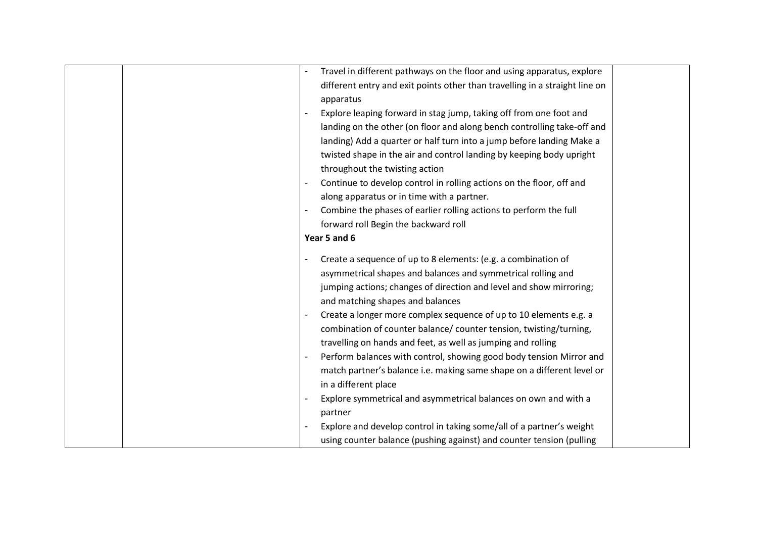|  | Travel in different pathways on the floor and using apparatus, explore                                |  |
|--|-------------------------------------------------------------------------------------------------------|--|
|  | different entry and exit points other than travelling in a straight line on                           |  |
|  | apparatus                                                                                             |  |
|  | Explore leaping forward in stag jump, taking off from one foot and                                    |  |
|  | landing on the other (on floor and along bench controlling take-off and                               |  |
|  | landing) Add a quarter or half turn into a jump before landing Make a                                 |  |
|  | twisted shape in the air and control landing by keeping body upright                                  |  |
|  | throughout the twisting action                                                                        |  |
|  | Continue to develop control in rolling actions on the floor, off and                                  |  |
|  | along apparatus or in time with a partner.                                                            |  |
|  | Combine the phases of earlier rolling actions to perform the full                                     |  |
|  | forward roll Begin the backward roll                                                                  |  |
|  | Year 5 and 6                                                                                          |  |
|  |                                                                                                       |  |
|  | Create a sequence of up to 8 elements: (e.g. a combination of                                         |  |
|  | asymmetrical shapes and balances and symmetrical rolling and                                          |  |
|  | jumping actions; changes of direction and level and show mirroring;                                   |  |
|  | and matching shapes and balances<br>Create a longer more complex sequence of up to 10 elements e.g. a |  |
|  | combination of counter balance/ counter tension, twisting/turning,                                    |  |
|  | travelling on hands and feet, as well as jumping and rolling                                          |  |
|  | Perform balances with control, showing good body tension Mirror and                                   |  |
|  |                                                                                                       |  |
|  | match partner's balance i.e. making same shape on a different level or<br>in a different place        |  |
|  | Explore symmetrical and asymmetrical balances on own and with a                                       |  |
|  |                                                                                                       |  |
|  | partner                                                                                               |  |
|  | Explore and develop control in taking some/all of a partner's weight                                  |  |
|  | using counter balance (pushing against) and counter tension (pulling                                  |  |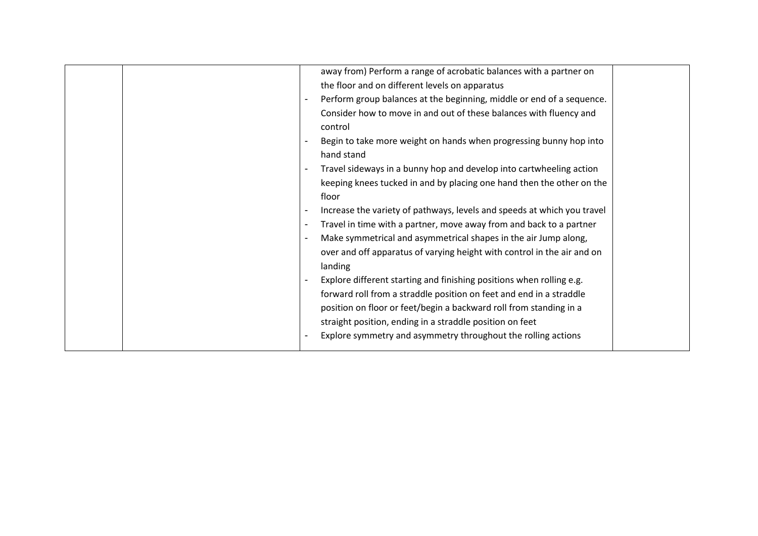|                          | away from) Perform a range of acrobatic balances with a partner on      |  |
|--------------------------|-------------------------------------------------------------------------|--|
|                          | the floor and on different levels on apparatus                          |  |
|                          | Perform group balances at the beginning, middle or end of a sequence.   |  |
|                          | Consider how to move in and out of these balances with fluency and      |  |
|                          | control                                                                 |  |
|                          | Begin to take more weight on hands when progressing bunny hop into      |  |
|                          | hand stand                                                              |  |
|                          | Travel sideways in a bunny hop and develop into cartwheeling action     |  |
|                          | keeping knees tucked in and by placing one hand then the other on the   |  |
|                          | floor                                                                   |  |
|                          | Increase the variety of pathways, levels and speeds at which you travel |  |
| $\overline{\phantom{a}}$ | Travel in time with a partner, move away from and back to a partner     |  |
|                          | Make symmetrical and asymmetrical shapes in the air Jump along,         |  |
|                          | over and off apparatus of varying height with control in the air and on |  |
|                          | landing                                                                 |  |
| $\overline{\phantom{a}}$ | Explore different starting and finishing positions when rolling e.g.    |  |
|                          | forward roll from a straddle position on feet and end in a straddle     |  |
|                          | position on floor or feet/begin a backward roll from standing in a      |  |
|                          | straight position, ending in a straddle position on feet                |  |
| $\overline{\phantom{a}}$ | Explore symmetry and asymmetry throughout the rolling actions           |  |
|                          |                                                                         |  |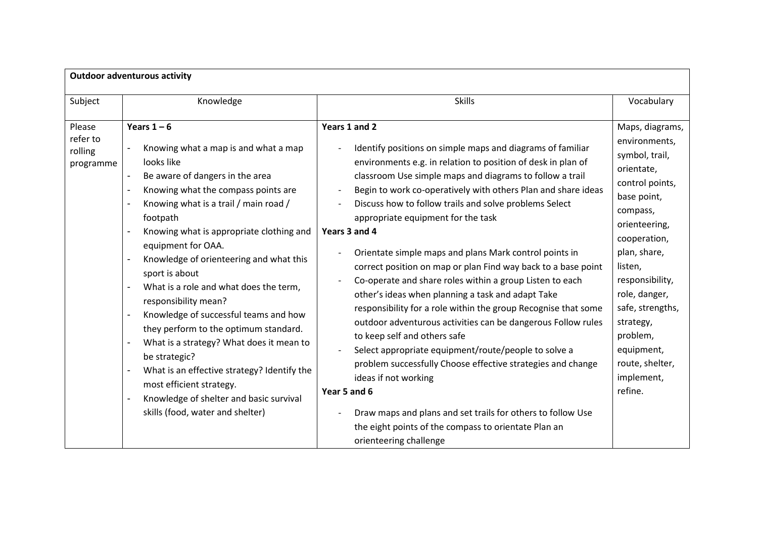| <b>Outdoor adventurous activity</b>        |                                                                                                                                                                                                                                                                                                                                                                                                                                                                                                                                                                                                                                                                                                                                                                                                                                                                                                                                                                        |                                                                                                                                                                                                                                                                                                                                                                                                                                                                                                                                                                                                                                                                                                                                                                                                                                                                                                                                                                                                                                                                                                                         |                                                                                                                                                                                                                                                                                                                       |  |
|--------------------------------------------|------------------------------------------------------------------------------------------------------------------------------------------------------------------------------------------------------------------------------------------------------------------------------------------------------------------------------------------------------------------------------------------------------------------------------------------------------------------------------------------------------------------------------------------------------------------------------------------------------------------------------------------------------------------------------------------------------------------------------------------------------------------------------------------------------------------------------------------------------------------------------------------------------------------------------------------------------------------------|-------------------------------------------------------------------------------------------------------------------------------------------------------------------------------------------------------------------------------------------------------------------------------------------------------------------------------------------------------------------------------------------------------------------------------------------------------------------------------------------------------------------------------------------------------------------------------------------------------------------------------------------------------------------------------------------------------------------------------------------------------------------------------------------------------------------------------------------------------------------------------------------------------------------------------------------------------------------------------------------------------------------------------------------------------------------------------------------------------------------------|-----------------------------------------------------------------------------------------------------------------------------------------------------------------------------------------------------------------------------------------------------------------------------------------------------------------------|--|
| Subject                                    | Knowledge                                                                                                                                                                                                                                                                                                                                                                                                                                                                                                                                                                                                                                                                                                                                                                                                                                                                                                                                                              | <b>Skills</b>                                                                                                                                                                                                                                                                                                                                                                                                                                                                                                                                                                                                                                                                                                                                                                                                                                                                                                                                                                                                                                                                                                           | Vocabulary                                                                                                                                                                                                                                                                                                            |  |
| Please<br>refer to<br>rolling<br>programme | Years $1-6$<br>Knowing what a map is and what a map<br>looks like<br>Be aware of dangers in the area<br>$\overline{\phantom{a}}$<br>Knowing what the compass points are<br>$\overline{\phantom{a}}$<br>Knowing what is a trail / main road /<br>footpath<br>Knowing what is appropriate clothing and<br>$\overline{\phantom{a}}$<br>equipment for OAA.<br>Knowledge of orienteering and what this<br>$\overline{\phantom{a}}$<br>sport is about<br>What is a role and what does the term,<br>$\overline{\phantom{a}}$<br>responsibility mean?<br>Knowledge of successful teams and how<br>$\overline{\phantom{a}}$<br>they perform to the optimum standard.<br>What is a strategy? What does it mean to<br>$\overline{\phantom{a}}$<br>be strategic?<br>What is an effective strategy? Identify the<br>$\overline{\phantom{a}}$<br>most efficient strategy.<br>Knowledge of shelter and basic survival<br>$\overline{\phantom{a}}$<br>skills (food, water and shelter) | Years 1 and 2<br>Identify positions on simple maps and diagrams of familiar<br>environments e.g. in relation to position of desk in plan of<br>classroom Use simple maps and diagrams to follow a trail<br>Begin to work co-operatively with others Plan and share ideas<br>Discuss how to follow trails and solve problems Select<br>appropriate equipment for the task<br>Years 3 and 4<br>Orientate simple maps and plans Mark control points in<br>correct position on map or plan Find way back to a base point<br>Co-operate and share roles within a group Listen to each<br>other's ideas when planning a task and adapt Take<br>responsibility for a role within the group Recognise that some<br>outdoor adventurous activities can be dangerous Follow rules<br>to keep self and others safe<br>Select appropriate equipment/route/people to solve a<br>problem successfully Choose effective strategies and change<br>ideas if not working<br>Year 5 and 6<br>Draw maps and plans and set trails for others to follow Use<br>the eight points of the compass to orientate Plan an<br>orienteering challenge | Maps, diagrams,<br>environments,<br>symbol, trail,<br>orientate,<br>control points,<br>base point,<br>compass,<br>orienteering,<br>cooperation,<br>plan, share,<br>listen,<br>responsibility,<br>role, danger,<br>safe, strengths,<br>strategy,<br>problem,<br>equipment,<br>route, shelter,<br>implement,<br>refine. |  |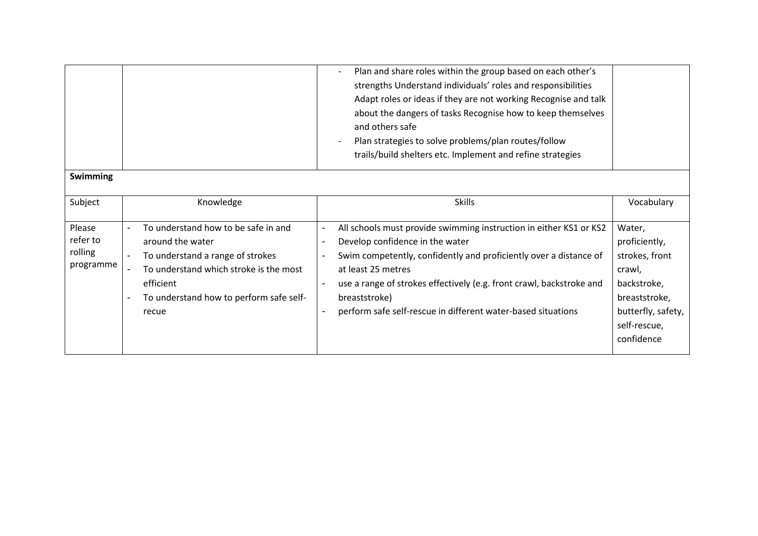|                                            |                                                                                                                                                                                                        | Plan and share roles within the group based on each other's<br>strengths Understand individuals' roles and responsibilities<br>Adapt roles or ideas if they are not working Recognise and talk<br>about the dangers of tasks Recognise how to keep themselves<br>and others safe<br>Plan strategies to solve problems/plan routes/follow<br>trails/build shelters etc. Implement and refine strategies |                                                                                                                                         |
|--------------------------------------------|--------------------------------------------------------------------------------------------------------------------------------------------------------------------------------------------------------|--------------------------------------------------------------------------------------------------------------------------------------------------------------------------------------------------------------------------------------------------------------------------------------------------------------------------------------------------------------------------------------------------------|-----------------------------------------------------------------------------------------------------------------------------------------|
| <b>Swimming</b>                            |                                                                                                                                                                                                        |                                                                                                                                                                                                                                                                                                                                                                                                        |                                                                                                                                         |
| Subject                                    | Knowledge                                                                                                                                                                                              | <b>Skills</b>                                                                                                                                                                                                                                                                                                                                                                                          | Vocabulary                                                                                                                              |
| Please<br>refer to<br>rolling<br>programme | To understand how to be safe in and<br>around the water<br>To understand a range of strokes<br>To understand which stroke is the most<br>efficient<br>To understand how to perform safe self-<br>recue | All schools must provide swimming instruction in either KS1 or KS2<br>Develop confidence in the water<br>Swim competently, confidently and proficiently over a distance of<br>at least 25 metres<br>use a range of strokes effectively (e.g. front crawl, backstroke and<br>breaststroke)<br>perform safe self-rescue in different water-based situations                                              | Water,<br>proficiently,<br>strokes, front<br>crawl,<br>backstroke,<br>breaststroke,<br>butterfly, safety,<br>self-rescue,<br>confidence |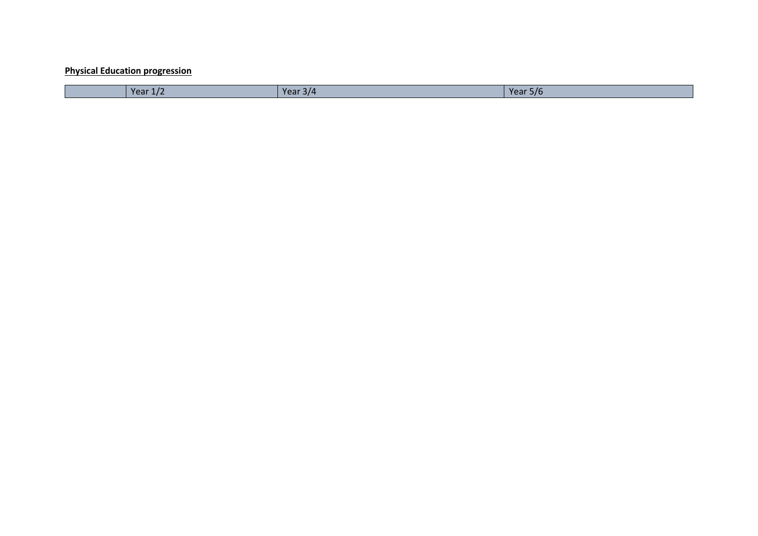## **Physical Education progression**

| Year $1/\sqrt{ }$ | $V \cap \neg r$<br>314<br>ar e II<br>--- | Year!<br>5/6<br>--- |
|-------------------|------------------------------------------|---------------------|
|-------------------|------------------------------------------|---------------------|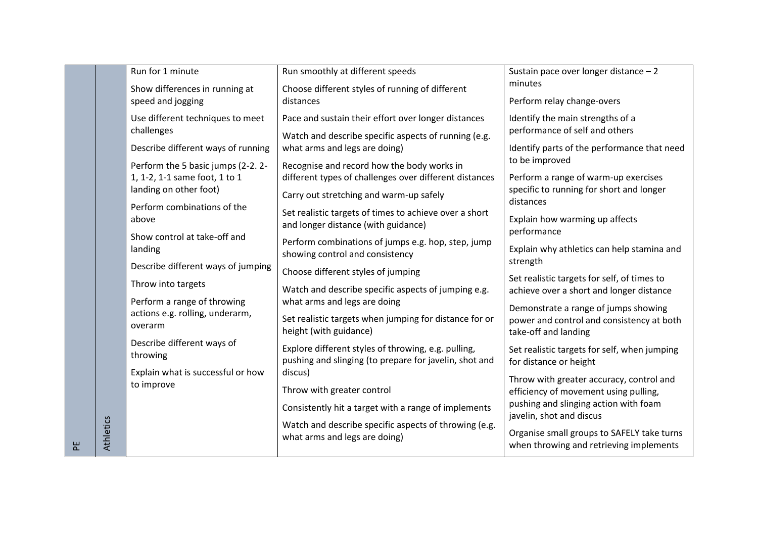|   |                  | Run for 1 minute                                                                             | Run smoothly at different speeds                                                                                                                | Sustain pace over longer distance - 2<br>minutes                                                   |
|---|------------------|----------------------------------------------------------------------------------------------|-------------------------------------------------------------------------------------------------------------------------------------------------|----------------------------------------------------------------------------------------------------|
|   |                  | Show differences in running at<br>speed and jogging                                          | Choose different styles of running of different<br>distances                                                                                    | Perform relay change-overs                                                                         |
|   |                  | Use different techniques to meet<br>challenges                                               | Pace and sustain their effort over longer distances<br>Watch and describe specific aspects of running (e.g.                                     | Identify the main strengths of a<br>performance of self and others                                 |
|   |                  | Describe different ways of running                                                           | what arms and legs are doing)                                                                                                                   | Identify parts of the performance that need                                                        |
|   |                  | Perform the 5 basic jumps (2-2.2-<br>1, 1-2, 1-1 same foot, 1 to 1<br>landing on other foot) | Recognise and record how the body works in<br>different types of challenges over different distances<br>Carry out stretching and warm-up safely | to be improved<br>Perform a range of warm-up exercises<br>specific to running for short and longer |
|   |                  | Perform combinations of the<br>above                                                         | Set realistic targets of times to achieve over a short<br>and longer distance (with guidance)                                                   | distances<br>Explain how warming up affects                                                        |
|   |                  | Show control at take-off and<br>landing                                                      | Perform combinations of jumps e.g. hop, step, jump<br>showing control and consistency                                                           | performance<br>Explain why athletics can help stamina and<br>strength                              |
|   |                  | Describe different ways of jumping<br>Throw into targets                                     | Choose different styles of jumping<br>Watch and describe specific aspects of jumping e.g.                                                       | Set realistic targets for self, of times to                                                        |
|   |                  | Perform a range of throwing<br>actions e.g. rolling, underarm,                               | what arms and legs are doing                                                                                                                    | achieve over a short and longer distance<br>Demonstrate a range of jumps showing                   |
|   |                  | overarm                                                                                      | Set realistic targets when jumping for distance for or<br>height (with guidance)                                                                | power and control and consistency at both<br>take-off and landing                                  |
|   |                  | Describe different ways of<br>throwing                                                       | Explore different styles of throwing, e.g. pulling,<br>pushing and slinging (to prepare for javelin, shot and                                   | Set realistic targets for self, when jumping<br>for distance or height                             |
|   |                  | Explain what is successful or how<br>to improve                                              | discus)<br>Throw with greater control                                                                                                           | Throw with greater accuracy, control and<br>efficiency of movement using pulling,                  |
|   |                  |                                                                                              | Consistently hit a target with a range of implements                                                                                            | pushing and slinging action with foam<br>javelin, shot and discus                                  |
| 씬 | <b>Athletics</b> |                                                                                              | Watch and describe specific aspects of throwing (e.g.<br>what arms and legs are doing)                                                          | Organise small groups to SAFELY take turns<br>when throwing and retrieving implements              |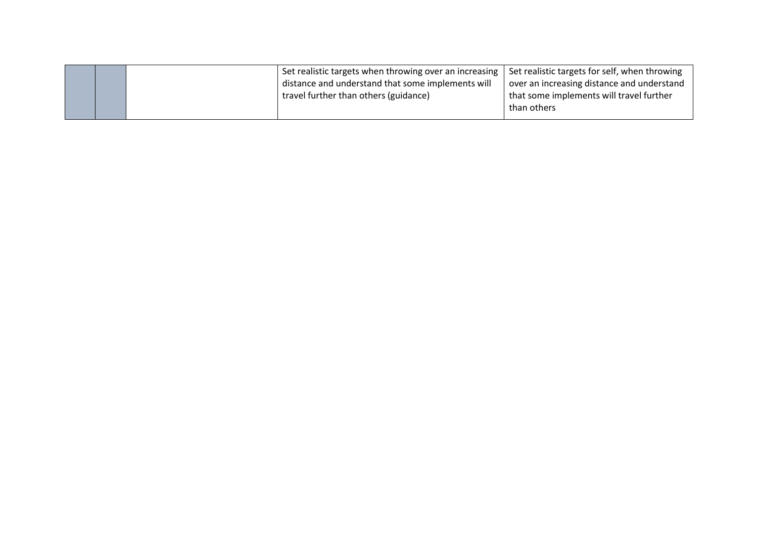|  | Set realistic targets when throwing over an increasing  <br>distance and understand that some implements will<br>travel further than others (guidance) | Set realistic targets for self, when throwing<br>over an increasing distance and understand<br>that some implements will travel further<br>than others |
|--|--------------------------------------------------------------------------------------------------------------------------------------------------------|--------------------------------------------------------------------------------------------------------------------------------------------------------|
|--|--------------------------------------------------------------------------------------------------------------------------------------------------------|--------------------------------------------------------------------------------------------------------------------------------------------------------|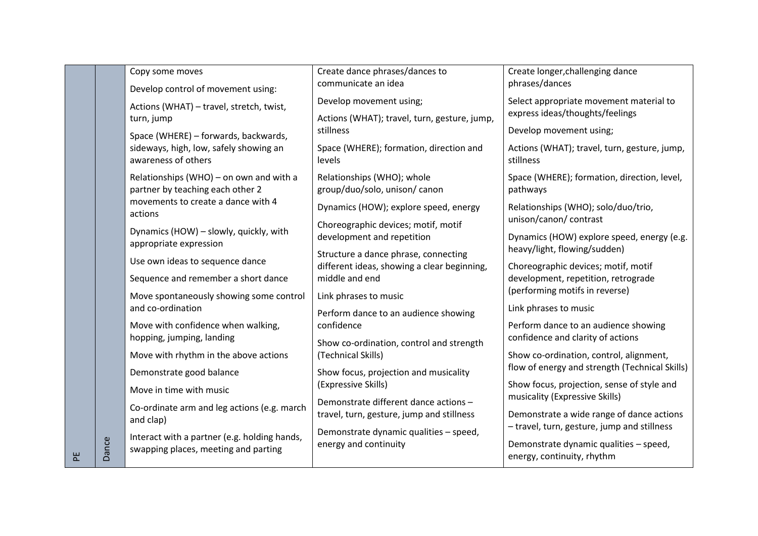|   |       | Copy some moves<br>Develop control of movement using:                                | Create dance phrases/dances to<br>communicate an idea                              | Create longer, challenging dance<br>phrases/dances                                       |
|---|-------|--------------------------------------------------------------------------------------|------------------------------------------------------------------------------------|------------------------------------------------------------------------------------------|
|   |       | Actions (WHAT) - travel, stretch, twist,<br>turn, jump                               | Develop movement using;<br>Actions (WHAT); travel, turn, gesture, jump,            | Select appropriate movement material to<br>express ideas/thoughts/feelings               |
|   |       | Space (WHERE) - forwards, backwards,                                                 | stillness                                                                          | Develop movement using;                                                                  |
|   |       | sideways, high, low, safely showing an<br>awareness of others                        | Space (WHERE); formation, direction and<br>levels                                  | Actions (WHAT); travel, turn, gesture, jump,<br>stillness                                |
|   |       | Relationships (WHO) - on own and with a<br>partner by teaching each other 2          | Relationships (WHO); whole<br>group/duo/solo, unison/ canon                        | Space (WHERE); formation, direction, level,<br>pathways                                  |
|   |       | movements to create a dance with 4<br>actions                                        | Dynamics (HOW); explore speed, energy                                              | Relationships (WHO); solo/duo/trio,                                                      |
|   |       | Dynamics (HOW) - slowly, quickly, with                                               | Choreographic devices; motif, motif<br>development and repetition                  | unison/canon/ contrast<br>Dynamics (HOW) explore speed, energy (e.g.                     |
|   |       | appropriate expression                                                               | Structure a dance phrase, connecting                                               | heavy/light, flowing/sudden)                                                             |
|   |       | Use own ideas to sequence dance                                                      | different ideas, showing a clear beginning,                                        | Choreographic devices; motif, motif                                                      |
|   |       | Sequence and remember a short dance                                                  | middle and end                                                                     | development, repetition, retrograde<br>(performing motifs in reverse)                    |
|   |       | Move spontaneously showing some control<br>and co-ordination                         | Link phrases to music                                                              | Link phrases to music                                                                    |
|   |       | Move with confidence when walking,                                                   | Perform dance to an audience showing<br>confidence                                 | Perform dance to an audience showing                                                     |
|   |       | hopping, jumping, landing                                                            | Show co-ordination, control and strength                                           | confidence and clarity of actions                                                        |
|   |       | Move with rhythm in the above actions                                                | (Technical Skills)                                                                 | Show co-ordination, control, alignment,                                                  |
|   |       | Demonstrate good balance                                                             | Show focus, projection and musicality                                              | flow of energy and strength (Technical Skills)                                           |
|   |       | Move in time with music                                                              | (Expressive Skills)                                                                | Show focus, projection, sense of style and<br>musicality (Expressive Skills)             |
|   |       | Co-ordinate arm and leg actions (e.g. march<br>and clap)                             | Demonstrate different dance actions -<br>travel, turn, gesture, jump and stillness | Demonstrate a wide range of dance actions<br>- travel, turn, gesture, jump and stillness |
| 씬 | Dance | Interact with a partner (e.g. holding hands,<br>swapping places, meeting and parting | Demonstrate dynamic qualities - speed,<br>energy and continuity                    | Demonstrate dynamic qualities - speed,<br>energy, continuity, rhythm                     |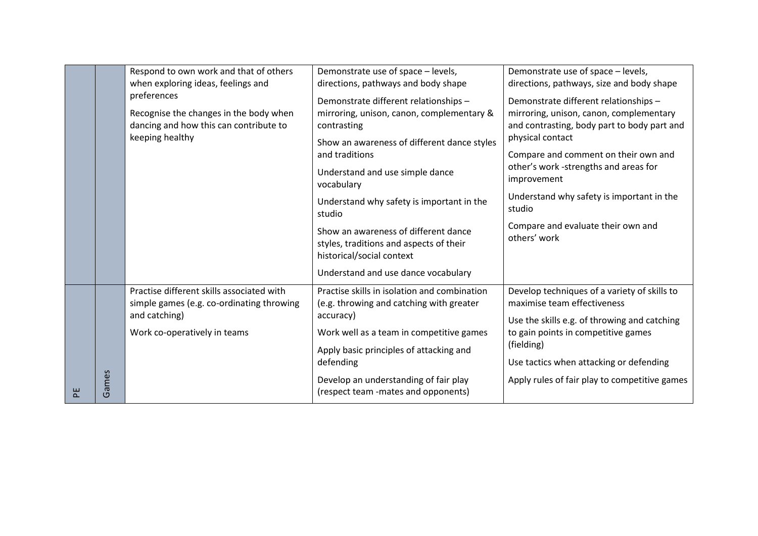|   |       | Respond to own work and that of others<br>when exploring ideas, feelings and                                                            | Demonstrate use of space - levels,<br>directions, pathways and body shape                                                                                                                                                                                                  | Demonstrate use of space - levels,<br>directions, pathways, size and body shape                                                                                                                                                                                                                            |
|---|-------|-----------------------------------------------------------------------------------------------------------------------------------------|----------------------------------------------------------------------------------------------------------------------------------------------------------------------------------------------------------------------------------------------------------------------------|------------------------------------------------------------------------------------------------------------------------------------------------------------------------------------------------------------------------------------------------------------------------------------------------------------|
|   |       | preferences<br>Recognise the changes in the body when<br>dancing and how this can contribute to<br>keeping healthy                      | Demonstrate different relationships -<br>mirroring, unison, canon, complementary &<br>contrasting<br>Show an awareness of different dance styles<br>and traditions<br>Understand and use simple dance<br>vocabulary<br>Understand why safety is important in the<br>studio | Demonstrate different relationships -<br>mirroring, unison, canon, complementary<br>and contrasting, body part to body part and<br>physical contact<br>Compare and comment on their own and<br>other's work -strengths and areas for<br>improvement<br>Understand why safety is important in the<br>studio |
|   |       |                                                                                                                                         | Show an awareness of different dance<br>styles, traditions and aspects of their<br>historical/social context<br>Understand and use dance vocabulary                                                                                                                        | Compare and evaluate their own and<br>others' work                                                                                                                                                                                                                                                         |
|   |       | Practise different skills associated with<br>simple games (e.g. co-ordinating throwing<br>and catching)<br>Work co-operatively in teams | Practise skills in isolation and combination<br>(e.g. throwing and catching with greater<br>accuracy)<br>Work well as a team in competitive games<br>Apply basic principles of attacking and<br>defending                                                                  | Develop techniques of a variety of skills to<br>maximise team effectiveness<br>Use the skills e.g. of throwing and catching<br>to gain points in competitive games<br>(fielding)<br>Use tactics when attacking or defending                                                                                |
| 문 | Games |                                                                                                                                         | Develop an understanding of fair play<br>(respect team -mates and opponents)                                                                                                                                                                                               | Apply rules of fair play to competitive games                                                                                                                                                                                                                                                              |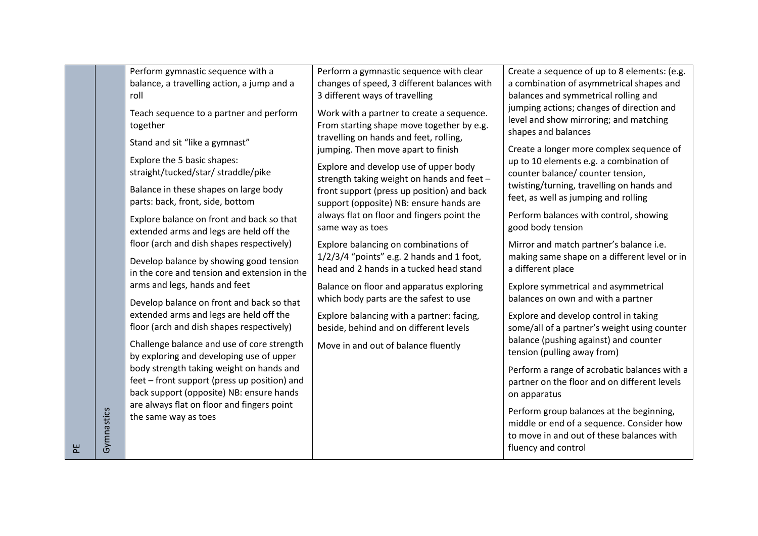|   |            | Perform gymnastic sequence with a                                                                                                    | Perform a gymnastic sequence with clear                                                                                          | Create a sequence of up to 8 elements: (e.g.                                                                                                              |
|---|------------|--------------------------------------------------------------------------------------------------------------------------------------|----------------------------------------------------------------------------------------------------------------------------------|-----------------------------------------------------------------------------------------------------------------------------------------------------------|
|   |            | balance, a travelling action, a jump and a                                                                                           | changes of speed, 3 different balances with                                                                                      | a combination of asymmetrical shapes and                                                                                                                  |
|   |            | roll                                                                                                                                 | 3 different ways of travelling                                                                                                   | balances and symmetrical rolling and                                                                                                                      |
|   |            | Teach sequence to a partner and perform<br>together                                                                                  | Work with a partner to create a sequence.<br>From starting shape move together by e.g.<br>travelling on hands and feet, rolling, | jumping actions; changes of direction and<br>level and show mirroring; and matching<br>shapes and balances                                                |
|   |            | Stand and sit "like a gymnast"                                                                                                       | jumping. Then move apart to finish                                                                                               | Create a longer more complex sequence of                                                                                                                  |
|   |            | Explore the 5 basic shapes:<br>straight/tucked/star/ straddle/pike                                                                   | Explore and develop use of upper body<br>strength taking weight on hands and feet -                                              | up to 10 elements e.g. a combination of<br>counter balance/ counter tension,<br>twisting/turning, travelling on hands and                                 |
|   |            | Balance in these shapes on large body<br>parts: back, front, side, bottom                                                            | front support (press up position) and back<br>support (opposite) NB: ensure hands are                                            | feet, as well as jumping and rolling                                                                                                                      |
|   |            | Explore balance on front and back so that<br>extended arms and legs are held off the                                                 | always flat on floor and fingers point the<br>same way as toes                                                                   | Perform balances with control, showing<br>good body tension                                                                                               |
|   |            | floor (arch and dish shapes respectively)                                                                                            | Explore balancing on combinations of                                                                                             | Mirror and match partner's balance i.e.                                                                                                                   |
|   |            | Develop balance by showing good tension<br>in the core and tension and extension in the                                              | $1/2/3/4$ "points" e.g. 2 hands and 1 foot,<br>head and 2 hands in a tucked head stand                                           | making same shape on a different level or in<br>a different place                                                                                         |
|   |            | arms and legs, hands and feet                                                                                                        | Balance on floor and apparatus exploring                                                                                         | Explore symmetrical and asymmetrical                                                                                                                      |
|   |            | Develop balance on front and back so that                                                                                            | which body parts are the safest to use                                                                                           | balances on own and with a partner                                                                                                                        |
|   |            | extended arms and legs are held off the<br>floor (arch and dish shapes respectively)                                                 | Explore balancing with a partner: facing,<br>beside, behind and on different levels                                              | Explore and develop control in taking<br>some/all of a partner's weight using counter                                                                     |
|   |            | Challenge balance and use of core strength<br>by exploring and developing use of upper                                               | Move in and out of balance fluently                                                                                              | balance (pushing against) and counter<br>tension (pulling away from)                                                                                      |
|   |            | body strength taking weight on hands and<br>feet - front support (press up position) and<br>back support (opposite) NB: ensure hands |                                                                                                                                  | Perform a range of acrobatic balances with a<br>partner on the floor and on different levels<br>on apparatus                                              |
| 뿐 | Gymnastics | are always flat on floor and fingers point<br>the same way as toes                                                                   |                                                                                                                                  | Perform group balances at the beginning,<br>middle or end of a sequence. Consider how<br>to move in and out of these balances with<br>fluency and control |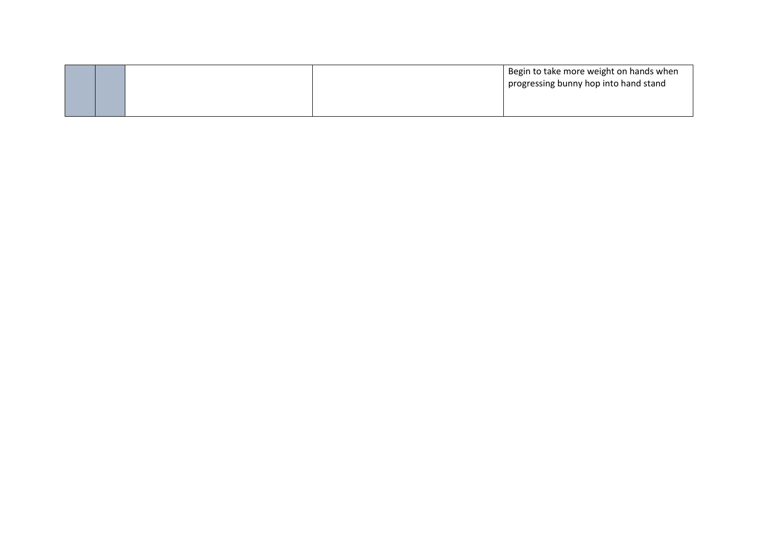|  |  | Begin to take more weight on hands when |
|--|--|-----------------------------------------|
|  |  | progressing bunny hop into hand stand   |
|  |  |                                         |
|  |  |                                         |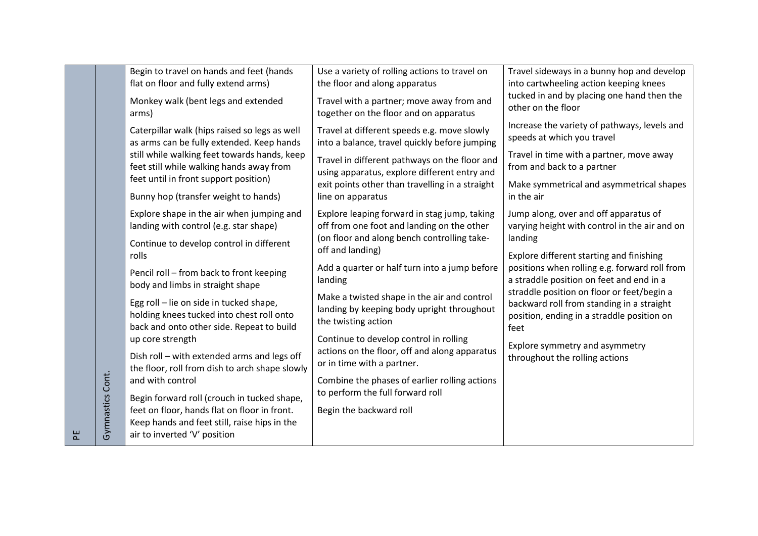| Begin to travel on hands and feet (hands                                                                                          | Use a variety of rolling actions to travel on                                                                                           | Travel sideways in a bunny hop and develop                                                                                                    |
|-----------------------------------------------------------------------------------------------------------------------------------|-----------------------------------------------------------------------------------------------------------------------------------------|-----------------------------------------------------------------------------------------------------------------------------------------------|
| flat on floor and fully extend arms)                                                                                              | the floor and along apparatus                                                                                                           | into cartwheeling action keeping knees                                                                                                        |
| Monkey walk (bent legs and extended                                                                                               | Travel with a partner; move away from and                                                                                               | tucked in and by placing one hand then the<br>other on the floor                                                                              |
| arms)                                                                                                                             | together on the floor and on apparatus                                                                                                  |                                                                                                                                               |
| Caterpillar walk (hips raised so legs as well<br>as arms can be fully extended. Keep hands                                        | Travel at different speeds e.g. move slowly<br>into a balance, travel quickly before jumping                                            | Increase the variety of pathways, levels and<br>speeds at which you travel                                                                    |
| still while walking feet towards hands, keep<br>feet still while walking hands away from                                          | Travel in different pathways on the floor and<br>using apparatus, explore different entry and                                           | Travel in time with a partner, move away<br>from and back to a partner                                                                        |
|                                                                                                                                   | exit points other than travelling in a straight                                                                                         | Make symmetrical and asymmetrical shapes                                                                                                      |
| Bunny hop (transfer weight to hands)                                                                                              | line on apparatus                                                                                                                       | in the air                                                                                                                                    |
| Explore shape in the air when jumping and<br>landing with control (e.g. star shape)                                               | Explore leaping forward in stag jump, taking<br>off from one foot and landing on the other                                              | Jump along, over and off apparatus of<br>varying height with control in the air and on                                                        |
| Continue to develop control in different<br>rolls                                                                                 | off and landing)                                                                                                                        | landing<br>Explore different starting and finishing                                                                                           |
| Pencil roll - from back to front keeping<br>body and limbs in straight shape                                                      | Add a quarter or half turn into a jump before<br>landing                                                                                | positions when rolling e.g. forward roll from<br>a straddle position on feet and end in a                                                     |
| Egg roll - lie on side in tucked shape,<br>holding knees tucked into chest roll onto<br>back and onto other side. Repeat to build | Make a twisted shape in the air and control<br>landing by keeping body upright throughout<br>the twisting action                        | straddle position on floor or feet/begin a<br>backward roll from standing in a straight<br>position, ending in a straddle position on<br>feet |
| up core strength                                                                                                                  | Continue to develop control in rolling                                                                                                  | Explore symmetry and asymmetry                                                                                                                |
| Dish roll - with extended arms and legs off                                                                                       | or in time with a partner.                                                                                                              | throughout the rolling actions                                                                                                                |
| and with control                                                                                                                  | Combine the phases of earlier rolling actions                                                                                           |                                                                                                                                               |
| Begin forward roll (crouch in tucked shape,                                                                                       |                                                                                                                                         |                                                                                                                                               |
| feet on floor, hands flat on floor in front.                                                                                      | Begin the backward roll                                                                                                                 |                                                                                                                                               |
| air to inverted 'V' position                                                                                                      |                                                                                                                                         |                                                                                                                                               |
| Gymnastics Cont.                                                                                                                  | feet until in front support position)<br>the floor, roll from dish to arch shape slowly<br>Keep hands and feet still, raise hips in the | (on floor and along bench controlling take-<br>actions on the floor, off and along apparatus<br>to perform the full forward roll              |